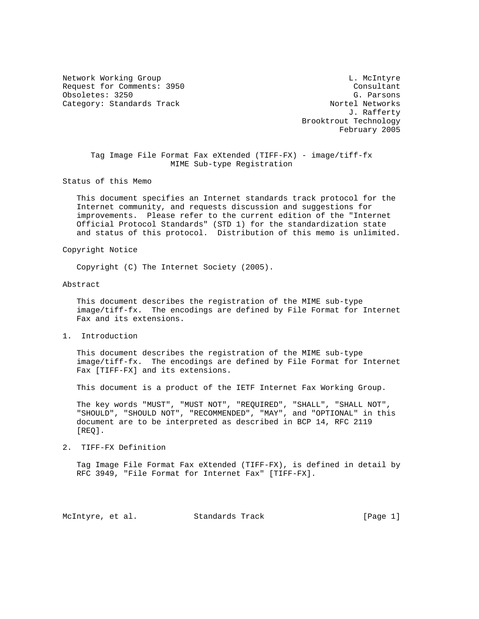Network Working Group and the control of the control of the L. McIntyre Request for Comments: 3950<br>
Obsoletes: 3250<br>
Consultant Consultant Consultant Consultant Consultant Consultant Obsoletes: 3250 G. Parsons Category: Standards Track

 J. Rafferty Brooktrout Technology February 2005

 Tag Image File Format Fax eXtended (TIFF-FX) - image/tiff-fx MIME Sub-type Registration

Status of this Memo

 This document specifies an Internet standards track protocol for the Internet community, and requests discussion and suggestions for improvements. Please refer to the current edition of the "Internet Official Protocol Standards" (STD 1) for the standardization state and status of this protocol. Distribution of this memo is unlimited.

Copyright Notice

Copyright (C) The Internet Society (2005).

## Abstract

 This document describes the registration of the MIME sub-type image/tiff-fx. The encodings are defined by File Format for Internet Fax and its extensions.

1. Introduction

 This document describes the registration of the MIME sub-type image/tiff-fx. The encodings are defined by File Format for Internet Fax [TIFF-FX] and its extensions.

This document is a product of the IETF Internet Fax Working Group.

 The key words "MUST", "MUST NOT", "REQUIRED", "SHALL", "SHALL NOT", "SHOULD", "SHOULD NOT", "RECOMMENDED", "MAY", and "OPTIONAL" in this document are to be interpreted as described in BCP 14, RFC 2119 [REQ].

2. TIFF-FX Definition

 Tag Image File Format Fax eXtended (TIFF-FX), is defined in detail by RFC 3949, "File Format for Internet Fax" [TIFF-FX].

McIntyre, et al. Standards Track [Page 1]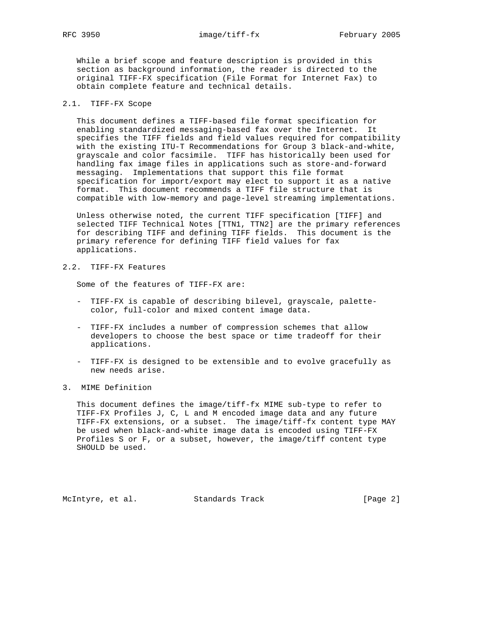While a brief scope and feature description is provided in this section as background information, the reader is directed to the original TIFF-FX specification (File Format for Internet Fax) to obtain complete feature and technical details.

## 2.1. TIFF-FX Scope

 This document defines a TIFF-based file format specification for enabling standardized messaging-based fax over the Internet. It specifies the TIFF fields and field values required for compatibility with the existing ITU-T Recommendations for Group 3 black-and-white, grayscale and color facsimile. TIFF has historically been used for handling fax image files in applications such as store-and-forward messaging. Implementations that support this file format specification for import/export may elect to support it as a native format. This document recommends a TIFF file structure that is compatible with low-memory and page-level streaming implementations.

 Unless otherwise noted, the current TIFF specification [TIFF] and selected TIFF Technical Notes [TTN1, TTN2] are the primary references for describing TIFF and defining TIFF fields. This document is the primary reference for defining TIFF field values for fax applications.

2.2. TIFF-FX Features

Some of the features of TIFF-FX are:

- TIFF-FX is capable of describing bilevel, grayscale, palette color, full-color and mixed content image data.
- TIFF-FX includes a number of compression schemes that allow developers to choose the best space or time tradeoff for their applications.
- TIFF-FX is designed to be extensible and to evolve gracefully as new needs arise.
- 3. MIME Definition

 This document defines the image/tiff-fx MIME sub-type to refer to TIFF-FX Profiles J, C, L and M encoded image data and any future TIFF-FX extensions, or a subset. The image/tiff-fx content type MAY be used when black-and-white image data is encoded using TIFF-FX Profiles S or F, or a subset, however, the image/tiff content type SHOULD be used.

McIntyre, et al. Standards Track [Page 2]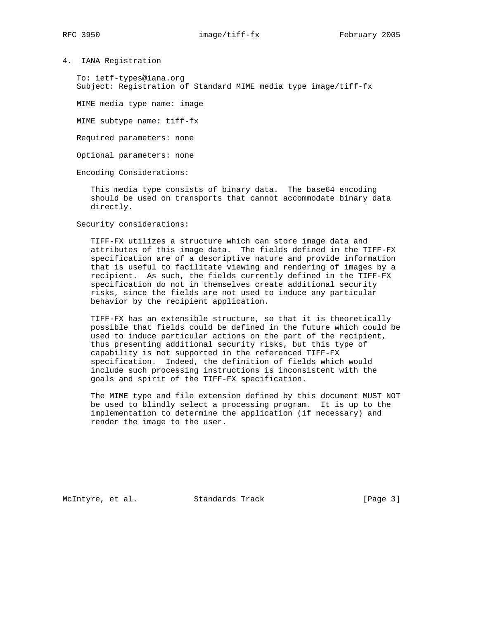4. IANA Registration

 To: ietf-types@iana.org Subject: Registration of Standard MIME media type image/tiff-fx

MIME media type name: image

MIME subtype name: tiff-fx

Required parameters: none

Optional parameters: none

Encoding Considerations:

 This media type consists of binary data. The base64 encoding should be used on transports that cannot accommodate binary data directly.

Security considerations:

 TIFF-FX utilizes a structure which can store image data and attributes of this image data. The fields defined in the TIFF-FX specification are of a descriptive nature and provide information that is useful to facilitate viewing and rendering of images by a recipient. As such, the fields currently defined in the TIFF-FX specification do not in themselves create additional security risks, since the fields are not used to induce any particular behavior by the recipient application.

 TIFF-FX has an extensible structure, so that it is theoretically possible that fields could be defined in the future which could be used to induce particular actions on the part of the recipient, thus presenting additional security risks, but this type of capability is not supported in the referenced TIFF-FX specification. Indeed, the definition of fields which would include such processing instructions is inconsistent with the goals and spirit of the TIFF-FX specification.

 The MIME type and file extension defined by this document MUST NOT be used to blindly select a processing program. It is up to the implementation to determine the application (if necessary) and render the image to the user.

McIntyre, et al. Standards Track [Page 3]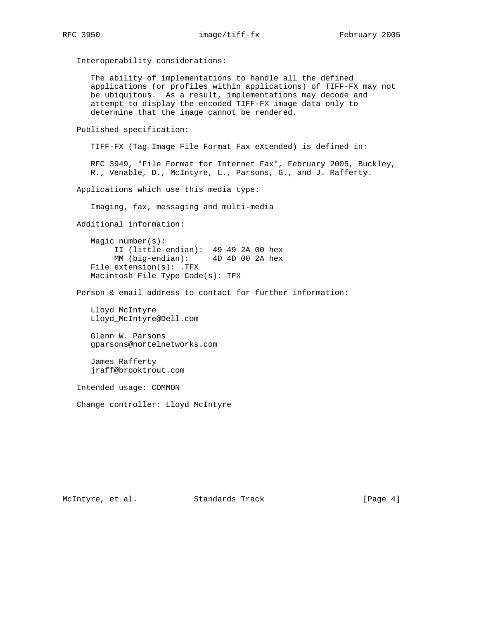Interoperability considerations: The ability of implementations to handle all the defined applications (or profiles within applications) of TIFF-FX may not be ubiquitous. As a result, implementations may decode and attempt to display the encoded TIFF-FX image data only to determine that the image cannot be rendered. Published specification: TIFF-FX (Tag Image File Format Fax eXtended) is defined in: RFC 3949, "File Format for Internet Fax", February 2005, Buckley, R., Venable, D., McIntyre, L., Parsons, G., and J. Rafferty. Applications which use this media type: Imaging, fax, messaging and multi-media Additional information: Magic number(s): II (little-endian): 49 49 2A 00 hex MM (big-endian): 4D 4D 00 2A hex File extension(s): .TFX Macintosh File Type Code(s): TFX Person & email address to contact for further information: Lloyd McIntyre Lloyd\_McIntyre@Dell.com Glenn W. Parsons gparsons@nortelnetworks.com James Rafferty jraff@brooktrout.com Intended usage: COMMON Change controller: Lloyd McIntyre

McIntyre, et al. Standards Track [Page 4]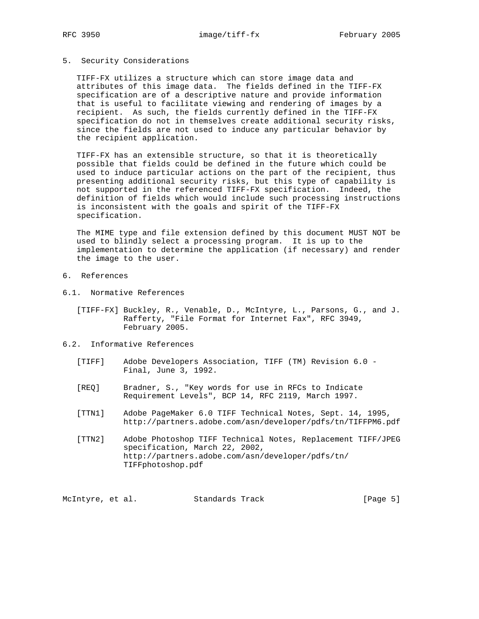## 5. Security Considerations

 TIFF-FX utilizes a structure which can store image data and attributes of this image data. The fields defined in the TIFF-FX specification are of a descriptive nature and provide information that is useful to facilitate viewing and rendering of images by a recipient. As such, the fields currently defined in the TIFF-FX specification do not in themselves create additional security risks, since the fields are not used to induce any particular behavior by the recipient application.

 TIFF-FX has an extensible structure, so that it is theoretically possible that fields could be defined in the future which could be used to induce particular actions on the part of the recipient, thus presenting additional security risks, but this type of capability is not supported in the referenced TIFF-FX specification. Indeed, the definition of fields which would include such processing instructions is inconsistent with the goals and spirit of the TIFF-FX specification.

 The MIME type and file extension defined by this document MUST NOT be used to blindly select a processing program. It is up to the implementation to determine the application (if necessary) and render the image to the user.

- 6. References
- 6.1. Normative References
	- [TIFF-FX] Buckley, R., Venable, D., McIntyre, L., Parsons, G., and J. Rafferty, "File Format for Internet Fax", RFC 3949, February 2005.
- 6.2. Informative References
	- [TIFF] Adobe Developers Association, TIFF (TM) Revision 6.0 Final, June 3, 1992.
	- [REQ] Bradner, S., "Key words for use in RFCs to Indicate Requirement Levels", BCP 14, RFC 2119, March 1997.
	- [TTN1] Adobe PageMaker 6.0 TIFF Technical Notes, Sept. 14, 1995, http://partners.adobe.com/asn/developer/pdfs/tn/TIFFPM6.pdf
	- [TTN2] Adobe Photoshop TIFF Technical Notes, Replacement TIFF/JPEG specification, March 22, 2002, http://partners.adobe.com/asn/developer/pdfs/tn/ TIFFphotoshop.pdf

McIntyre, et al. Standards Track [Page 5]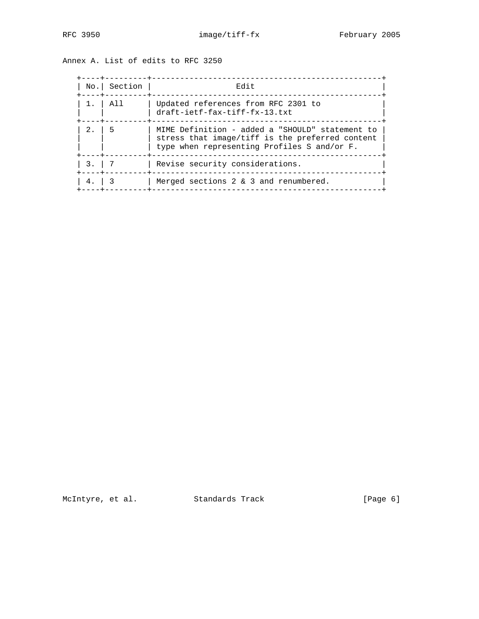| Annex A. List of edits to RFC 3250 |  |  |  |  |  |  |
|------------------------------------|--|--|--|--|--|--|
|------------------------------------|--|--|--|--|--|--|

|        | No. Section<br>---+--- | Edit                                                                                                                                              |
|--------|------------------------|---------------------------------------------------------------------------------------------------------------------------------------------------|
| 1.1    | A11                    | Updated references from RFC 2301 to<br>draft-ietf-fax-tiff-fx-13.txt                                                                              |
| 2.     | 5                      | MIME Definition - added a "SHOULD" statement to<br>stress that image/tiff is the preferred content<br>type when representing Profiles S and/or F. |
| 3.   7 |                        | Revise security considerations.                                                                                                                   |
|        |                        | Merged sections 2 & 3 and renumbered.                                                                                                             |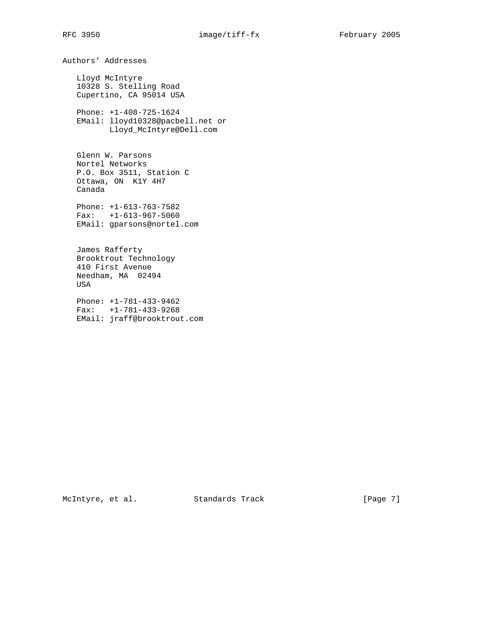Authors' Addresses Lloyd McIntyre 10328 S. Stelling Road Cupertino, CA 95014 USA Phone: +1-408-725-1624 EMail: lloyd10328@pacbell.net or Lloyd\_McIntyre@Dell.com Glenn W. Parsons Nortel Networks P.O. Box 3511, Station C Ottawa, ON K1Y 4H7 Canada Phone: +1-613-763-7582 Fax: +1-613-967-5060 EMail: gparsons@nortel.com James Rafferty Brooktrout Technology 410 First Avenue Needham, MA 02494 USA Phone: +1-781-433-9462 Fax: +1-781-433-9268 EMail: jraff@brooktrout.com

McIntyre, et al. Standards Track [Page 7]